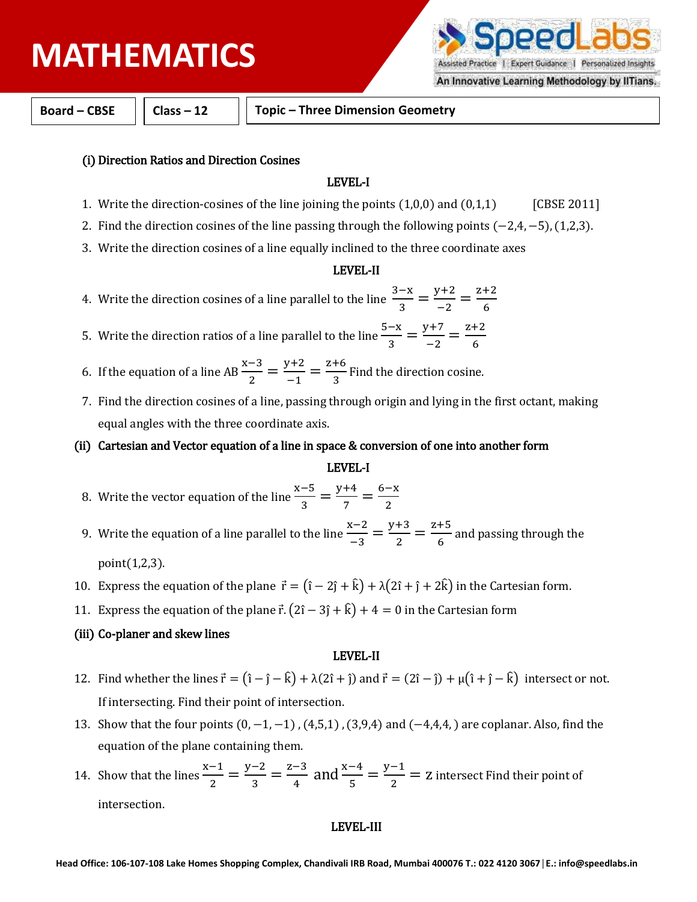# **PHYSICS MATHEMATICS**

Assisted Practice | Expert Guidance | Personalized Insights An Innovative Learning Methodology by IITians.

**Board – CBSE Class – 12 Topic – Three Dimension Geometry**

## (i) Direction Ratios and Direction Cosines

#### LEVEL-I

- 1. Write the direction-cosines of the line joining the points  $(1,0,0)$  and  $(0,1,1)$  [CBSE 2011]
- 2. Find the direction cosines of the line passing through the following points (−2,4, −5), (1,2,3).
- 3. Write the direction cosines of a line equally inclined to the three coordinate axes

#### LEVEL-II

- 4. Write the direction cosines of a line parallel to the line  $\frac{3-x}{2}$  $\frac{-x}{3} = \frac{y+2}{-2}$  $\frac{z+2}{-2} = \frac{z+2}{6}$ 6
- 5. Write the direction ratios of a line parallel to the line  $\frac{5-x}{9}$  $\frac{-x}{3} = \frac{y+7}{-2}$  $\frac{7+7}{-2} = \frac{z+2}{6}$ 6
- 6. If the equation of a line AB  $\frac{x-3}{2}$  $\frac{-3}{2} = \frac{y+2}{-1}$  $\frac{y+2}{-1} = \frac{z+6}{3}$  $\frac{1}{3}$  Find the direction cosine.
- 7. Find the direction cosines of a line, passing through origin and lying in the first octant, making equal angles with the three coordinate axis.
- (ii) Cartesian and Vector equation of a line in space & conversion of one into another form

#### LEVEL-I

- 8. Write the vector equation of the line  $\frac{x-5}{2}$  $\frac{-5}{3} = \frac{y+4}{7}$  $\frac{+4}{7} = \frac{6-x}{2}$ 2
- 9. Write the equation of a line parallel to the line  $\frac{x-2}{2}$  $\frac{x-2}{-3} = \frac{y+3}{2}$  $\frac{+3}{2} = \frac{z+5}{6}$  $\frac{1}{6}$  and passing through the

point(1,2,3).

- 10. Express the equation of the plane  $\vec{r} = (\hat{i} 2\hat{j} + \hat{k}) + \lambda(2\hat{i} + \hat{j} + 2\hat{k})$  in the Cartesian form.
- 11. Express the equation of the plane  $\vec{r}$ .  $(2\hat{i} 3\hat{j} + \hat{k}) + 4 = 0$  in the Cartesian form

## (iii) Co-planer and skew lines

#### LEVEL-II

- 12. Find whether the lines  $\vec{r} = (\hat{i} \hat{j} \hat{k}) + \lambda(2\hat{i} + \hat{j})$  and  $\vec{r} = (2\hat{i} \hat{j}) + \mu(\hat{i} + \hat{j} \hat{k})$  intersect or not. If intersecting. Find their point of intersection.
- 13. Show that the four points  $(0, -1, -1)$ ,  $(4,5,1)$ ,  $(3,9,4)$  and  $(-4,4,4)$  are coplanar. Also, find the equation of the plane containing them.
- 14. Show that the lines  $\frac{x-1}{2}$  $\frac{-1}{2} = \frac{y-2}{3}$  $\frac{-2}{3} = \frac{z-3}{4}$  $\frac{x-3}{4}$  and  $\frac{x-4}{5} = \frac{y-1}{2}$  $\frac{2}{2}$  = z intersect Find their point of intersection.

#### LEVEL-III